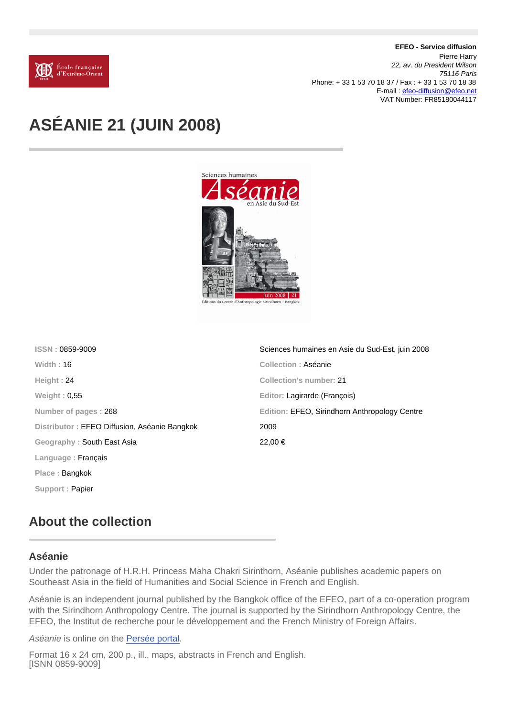EFEO - Service diffusion Pierre Harry 22, av. du President Wilson 75116 Paris Phone: + 33 1 53 70 18 37 / Fax : + 33 1 53 70 18 38 E-mail : [efeo-diffusion@efeo.net](mailto:efeo-diffusion@efeo.net) VAT Number: FR85180044117

## ASÉANIE 21 (JUIN 2008)

| ISSN: 0859-9009                              | Sciences humaines en Asie du Sud-Est, juin 2008 |
|----------------------------------------------|-------------------------------------------------|
| Width: $16$                                  | Collection: Aséanie                             |
| Height: 24                                   | Collection's number: 21                         |
| Weight: $0,55$                               | Editor: Lagirarde (François)                    |
| Number of pages: 268                         | Edition: EFEO, Sirindhorn Anthropology Centre   |
| Distributor: EFEO Diffusion, Aséanie Bangkok | 2009                                            |
| Geography: South East Asia                   | $22.00 \in$                                     |
| Language: $Francais$                         |                                                 |
| Place: Bangkok                               |                                                 |
| Support: Papier                              |                                                 |
|                                              |                                                 |

## About the collection

## Aséanie

Under the patronage of H.R.H. Princess Maha Chakri Sirinthorn, Aséanie publishes academic papers on Southeast Asia in the field of Humanities and Social Science in French and English.

Aséanie is an independent journal published by the Bangkok office of the EFEO, part of a co-operation program with the Sirindhorn Anthropology Centre. The journal is supported by the Sirindhorn Anthropology Centre, the EFEO, the Institut de recherche pour le développement and the French Ministry of Foreign Affairs.

Aséanie is online on the [Persée portal](http://www.persee.fr/web/revues/home/prescript/revue/asean).

Format 16 x 24 cm, 200 p., ill., maps, abstracts in French and English. [ISNN 0859-9009]